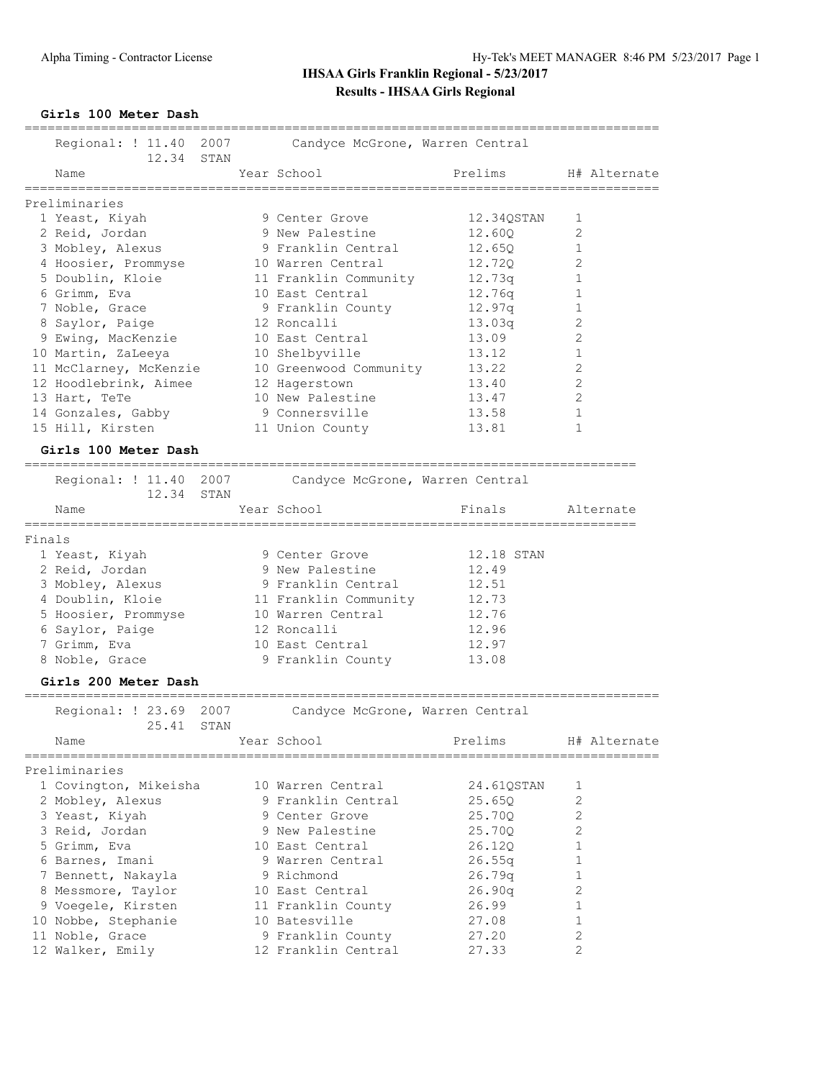### **Girls 100 Meter Dash**

|        | Regional: ! 11.40 2007<br>12.34 STAN         | Candyce McGrone, Warren Central  |            |                |
|--------|----------------------------------------------|----------------------------------|------------|----------------|
|        | Name                                         | Year School                      | Prelims    | H# Alternate   |
|        | Preliminaries                                |                                  |            |                |
|        | 1 Yeast, Kiyah                               | 9 Center Grove                   | 12.34QSTAN | 1              |
|        | 2 Reid, Jordan                               | 9 New Palestine                  | 12.60Q     | 2              |
|        | 3 Mobley, Alexus                             | 9 Franklin Central               | 12.650     | 1              |
|        | 4 Hoosier, Prommyse                          | 10 Warren Central                | 12.72Q     | 2              |
|        | 5 Doublin, Kloie                             | 11 Franklin Community            | 12.73q     | 1              |
|        | 6 Grimm, Eva                                 | 10 East Central                  | 12.76q     | 1              |
|        | 7 Noble, Grace                               | 9 Franklin County                | 12.97q     | 1              |
|        | 8 Saylor, Paige                              | 12 Roncalli                      | 13.03q     | 2              |
|        |                                              | 10 East Central                  |            | 2              |
|        | 9 Ewing, MacKenzie                           |                                  | 13.09      |                |
|        | 10 Martin, ZaLeeya                           | 10 Shelbyville                   | 13.12      | 1<br>2         |
|        | 11 McClarney, McKenzie                       | 10 Greenwood Community           | 13.22      |                |
|        | 12 Hoodlebrink, Aimee                        | 12 Hagerstown                    | 13.40      | 2              |
|        | 13 Hart, TeTe                                | 10 New Palestine                 | 13.47      | 2              |
|        | 14 Gonzales, Gabby                           | 9 Connersville                   | 13.58      | 1              |
|        | 15 Hill, Kirsten                             | 11 Union County                  | 13.81      | 1              |
|        | Girls 100 Meter Dash<br>==================== |                                  |            |                |
|        | Regional: ! 11.40 2007                       | Candyce McGrone, Warren Central  |            |                |
|        | 12.34 STAN                                   |                                  |            |                |
|        | Name<br>============                         | Year School<br>================= | Finals     | Alternate      |
| Finals |                                              |                                  |            |                |
|        | 1 Yeast, Kiyah                               | 9 Center Grove                   | 12.18 STAN |                |
|        | 2 Reid, Jordan                               | 9 New Palestine                  | 12.49      |                |
|        | 3 Mobley, Alexus                             | 9 Franklin Central               | 12.51      |                |
|        | 4 Doublin, Kloie                             | 11 Franklin Community            | 12.73      |                |
|        | 5 Hoosier, Prommyse                          | 10 Warren Central                | 12.76      |                |
|        | 6 Saylor, Paige                              | 12 Roncalli                      | 12.96      |                |
|        | 7 Grimm, Eva                                 | 10 East Central                  | 12.97      |                |
|        | 8 Noble, Grace                               | 9 Franklin County                | 13.08      |                |
|        | Girls 200 Meter Dash                         |                                  |            |                |
|        | Regional: $\frac{1}{23.69}$<br>2007          | Candyce McGrone, Warren Central  |            |                |
|        | 25.41<br>STAN                                |                                  |            |                |
|        | Name                                         | Year School                      | Prelims    | H# Alternate   |
|        | Preliminaries                                |                                  |            |                |
|        | 1 Covington, Mikeisha                        | 10 Warren Central                | 24.61QSTAN | 1              |
|        | 2 Mobley, Alexus                             | 9 Franklin Central               | 25.65Q     | 2              |
|        | 3 Yeast, Kiyah                               | 9 Center Grove                   | 25.70Q     | 2              |
|        | 3 Reid, Jordan                               | 9 New Palestine                  | 25.70Q     | 2              |
|        | 5 Grimm, Eva                                 | 10 East Central                  | 26.120     | 1              |
|        | 6 Barnes, Imani                              | 9 Warren Central                 | 26.55q     | 1              |
|        | 7 Bennett, Nakayla                           | 9 Richmond                       | 26.79q     | 1              |
|        | 8 Messmore, Taylor                           | 10 East Central                  | 26.90q     | 2              |
|        | 9 Voegele, Kirsten                           | 11 Franklin County               | 26.99      | 1              |
|        | 10 Nobbe, Stephanie                          | 10 Batesville                    | 27.08      | 1              |
|        | 11 Noble, Grace                              | 9 Franklin County                | 27.20      | 2              |
|        | 12 Walker, Emily                             | 12 Franklin Central              | 27.33      | $\overline{2}$ |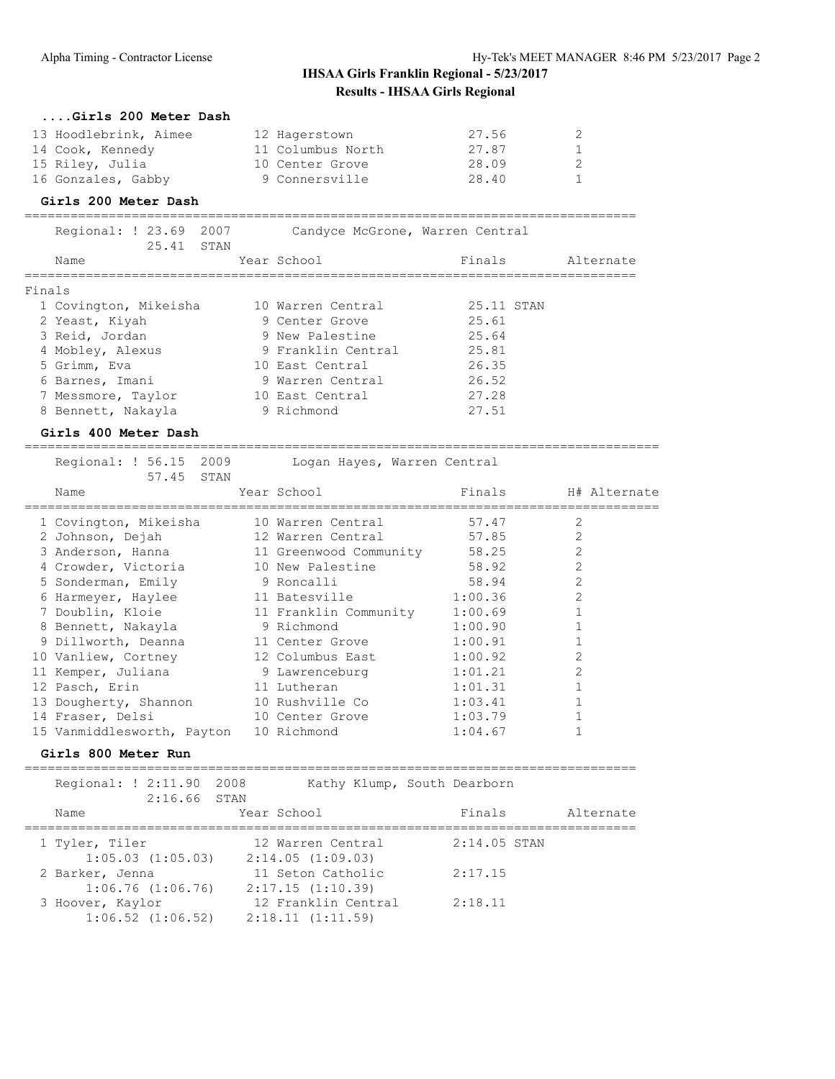| Girls 200 Meter Dash                 |                    |                                 |                |
|--------------------------------------|--------------------|---------------------------------|----------------|
| 13 Hoodlebrink, Aimee                | 12 Hagerstown      | 27.56                           | $\overline{2}$ |
| 14 Cook, Kennedy                     | 11 Columbus North  | 27.87                           |                |
| 15 Riley, Julia                      | 10 Center Grove    | 28.09                           | 2              |
| 16 Gonzales, Gabby                   | 9 Connersville     | 28.40                           |                |
| Girls 200 Meter Dash                 |                    |                                 |                |
| Regional: ! 23.69 2007<br>25.41 STAN |                    | Candyce McGrone, Warren Central |                |
| Name                                 | Year School        | Finals                          | Alternate      |
| Finals                               |                    |                                 |                |
| 1 Covington, Mikeisha                | 10 Warren Central  | 25.11 STAN                      |                |
| 2 Yeast, Kiyah                       | 9 Center Grove     | 25.61                           |                |
| 3 Reid, Jordan                       | 9 New Palestine    | 25.64                           |                |
| 4 Mobley Alevija                     | 9 Franklin Contral | 25 R1                           |                |

| 4 Mobley, Alexus   | 9 Franklin Central | 25.81 |
|--------------------|--------------------|-------|
| 5 Grimm, Eva       | 10 East Central    | 26.35 |
| 6 Barnes, Imani    | 9 Warren Central   | 26.52 |
| 7 Messmore, Taylor | 10 East Central    | 27.28 |
| 8 Bennett, Nakayla | 9 Richmond         | 27.51 |

#### **Girls 400 Meter Dash**

===================================================================================

| Regional: ! 56.15 2009<br>57.45 STAN | Logan Hayes, Warren Central |         |                |              |
|--------------------------------------|-----------------------------|---------|----------------|--------------|
| Name                                 | Year School                 | Finals  |                | H# Alternate |
| 1 Covington, Mikeisha                | 10 Warren Central           | 57.47   | 2              |              |
| 2 Johnson, Dejah                     | 12 Warren Central           | 57.85   | $\overline{2}$ |              |
| 3 Anderson, Hanna                    | 11 Greenwood Community      | 58.25   | $\overline{2}$ |              |
| 4 Crowder, Victoria                  | 10 New Palestine            | 58.92   | $\overline{2}$ |              |
| 5 Sonderman, Emily                   | 9 Roncalli                  | 58.94   | $\overline{2}$ |              |
| 6 Harmeyer, Haylee                   | 11 Batesville               | 1:00.36 | $\overline{2}$ |              |
| 7 Doublin, Kloie                     | 11 Franklin Community       | 1:00.69 |                |              |
| 8 Bennett, Nakayla                   | 9 Richmond                  | 1:00.90 |                |              |
| 9 Dillworth, Deanna                  | 11 Center Grove             | 1:00.91 |                |              |
| 10 Vanliew, Cortney                  | 12 Columbus East            | 1:00.92 | $\overline{2}$ |              |
| 11 Kemper, Juliana                   | 9 Lawrenceburg              | 1:01.21 | $\overline{2}$ |              |
| 12 Pasch, Erin                       | 11 Lutheran                 | 1:01.31 |                |              |
| 13 Dougherty, Shannon                | 10 Rushville Co             | 1:03.41 |                |              |
| 14 Fraser, Delsi                     | 10 Center Grove             | 1:03.79 |                |              |
| 15 Vanmiddlesworth, Payton           | 10 Richmond                 | 1:04.67 |                |              |

#### **Girls 800 Meter Run**

================================================================================

| Regional: ! 2:11.90<br>$2:16.66$ STAN     | 2008                                    | Kathy Klump, South Dearborn |           |
|-------------------------------------------|-----------------------------------------|-----------------------------|-----------|
| Name                                      | Year School                             | Finals                      | Alternate |
| 1 Tyler, Tiler<br>$1:05.03$ $(1:05.03)$   | 12 Warren Central<br>2:14.05(1:09.03)   | $2:14.05$ STAN              |           |
| 2 Barker, Jenna<br>$1:06.76$ $(1:06.76)$  | 11 Seton Catholic<br>2:17.15(1:10.39)   | 2:17.15                     |           |
| 3 Hoover, Kaylor<br>$1:06.52$ $(1:06.52)$ | 12 Franklin Central<br>2:18.11(1:11.59) | 2:18.11                     |           |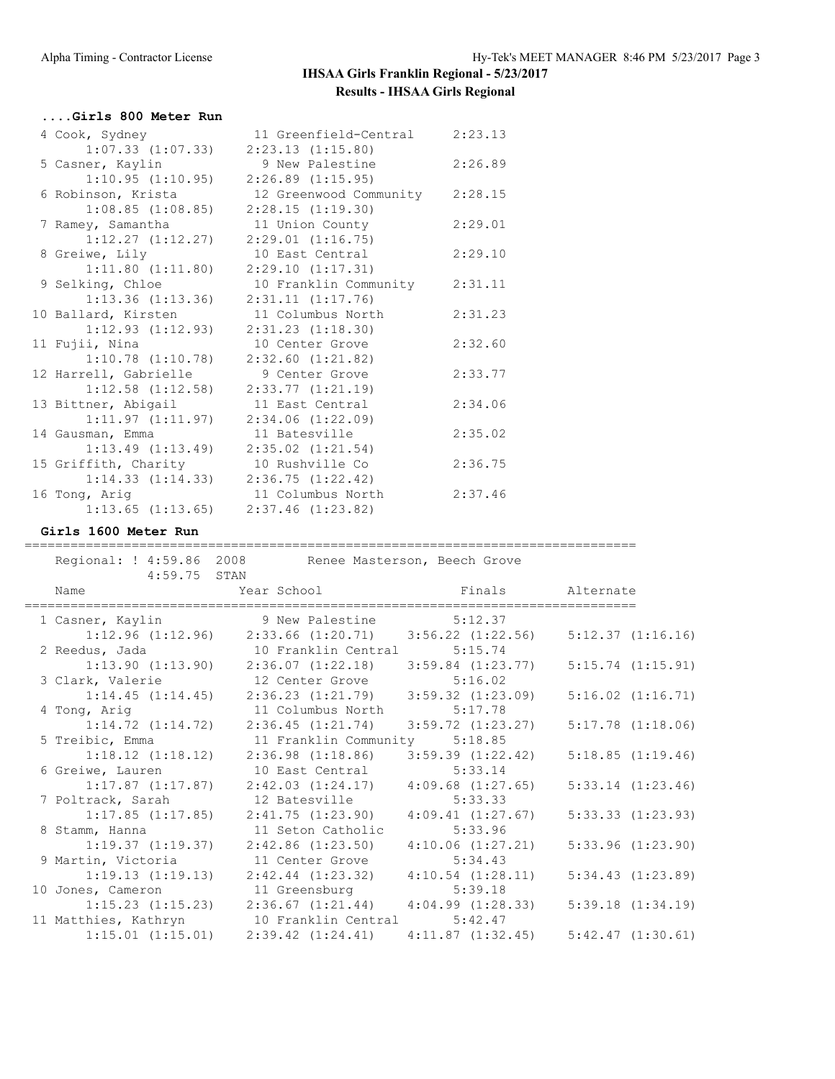| Girls 800 Meter Run                         |                                |         |
|---------------------------------------------|--------------------------------|---------|
| 4 Cook, Sydney                              | 11 Greenfield-Central 2:23.13  |         |
| $1:07.33$ $(1:07.33)$                       | $2:23.13$ $(1:15.80)$          |         |
| 5 Casner, Kaylin                            | 9 New Palestine                | 2:26.89 |
| 1:10.95(1:10.95)                            | $2:26.89$ $(1:15.95)$          |         |
| 6 Robinson, Krista                          | 12 Greenwood Community 2:28.15 |         |
| $1:08.85$ $(1:08.85)$                       | 2:28.15(1:19.30)               |         |
| 7 Ramey, Samantha                           | 11 Union County                | 2:29.01 |
| $1:12.27$ $(1:12.27)$                       | 2:29.01(1:16.75)               |         |
| 8 Greiwe, Lily                              | 10 East Central                | 2:29.10 |
| $1:11.80$ $(1:11.80)$                       | 2:29.10(1:17.31)               |         |
| 9 Selking, Chloe                            | 10 Franklin Community          | 2:31.11 |
| $1:13.36$ $(1:13.36)$                       | 2:31.11(1:17.76)               |         |
| 10 Ballard, Kirsten                         | 11 Columbus North              | 2:31.23 |
| $1:12.93$ $(1:12.93)$                       | $2:31.23$ $(1:18.30)$          |         |
| 11 Fujii, Nina                              | 10 Center Grove                | 2:32.60 |
| $1:10.78$ $(1:10.78)$                       | $2:32.60$ $(1:21.82)$          |         |
| 12 Harrell, Gabrielle                       | 9 Center Grove                 | 2:33.77 |
| $1:12.58$ $(1:12.58)$                       | 2:33.77(1:21.19)               |         |
| 13 Bittner, Abigail                         | 11 East Central                | 2:34.06 |
| 1:11.97(1:11.97)                            | $2:34.06$ $(1:22.09)$          |         |
| 14 Gausman, Emma                            | 11 Batesville                  | 2:35.02 |
| $1:13.49$ $(1:13.49)$ $2:35.02$ $(1:21.54)$ |                                |         |
| 15 Griffith, Charity                        | 10 Rushville Co                | 2:36.75 |
| $1:14.33$ $(1:14.33)$ $2:36.75$ $(1:22.42)$ |                                |         |
| 16 Tong, Arig                               | 11 Columbus North              | 2:37.46 |
| $1:13.65$ $(1:13.65)$                       | $2:37.46$ $(1:23.82)$          |         |

#### **Girls 1600 Meter Run**

================================================================================

| 4:59.75 STAN        | Regional: ! 4:59.86 2008 Renee Masterson, Beech Grove                                                                       |                                             |                       |
|---------------------|-----------------------------------------------------------------------------------------------------------------------------|---------------------------------------------|-----------------------|
| Name                | <b>Example 2</b> Year School <b>Example 2</b> School <b>Primary</b> Primary 2 Alternate<br>================================ | ;=================================          |                       |
|                     | 1 Casner, Kaylin 9 New Palestine 5:12.37                                                                                    |                                             |                       |
|                     | $1:12.96$ (1:12.96) $2:33.66$ (1:20.71) $3:56.22$ (1:22.56)                                                                 |                                             | 5:12.37(1:16.16)      |
| 2 Reedus, Jada      | 10 Franklin Central 5:15.74                                                                                                 |                                             |                       |
|                     | $1:13.90$ $(1:13.90)$ $2:36.07$ $(1:22.18)$ $3:59.84$ $(1:23.77)$                                                           |                                             | $5:15.74$ $(1:15.91)$ |
| 3 Clark, Valerie    | 12 Center Grove                                                                                                             | 5:16.02                                     |                       |
|                     | $1:14.45$ $(1:14.45)$ $2:36.23$ $(1:21.79)$ $3:59.32$ $(1:23.09)$                                                           |                                             | $5:16.02$ $(1:16.71)$ |
| 4 Tong, Arig        | 11 Columbus North                                                                                                           | 5:17.78                                     |                       |
|                     | $1:14.72$ $(1:14.72)$ $2:36.45$ $(1:21.74)$                                                                                 | $3:59.72$ $(1:23.27)$                       | $5:17.78$ $(1:18.06)$ |
| 5 Treibic, Emma     | 11 Franklin Community 5:18.85                                                                                               |                                             |                       |
|                     | $1:18.12$ $(1:18.12)$ $2:36.98$ $(1:18.86)$                                                                                 | 3:59.39(1:22.42)                            | 5:18.85(1:19.46)      |
| 6 Greiwe, Lauren    | 10 East Central 5:33.14                                                                                                     |                                             |                       |
|                     | $1:17.87$ $(1:17.87)$ $2:42.03$ $(1:24.17)$ $4:09.68$ $(1:27.65)$                                                           |                                             | $5:33.14$ $(1:23.46)$ |
|                     | 7 Poltrack, Sarah 12 Batesville                                                                                             | 5:33.33                                     |                       |
| $1:17.85$ (1:17.85) | 2:41.75 (1:23.90)                                                                                                           | 4:09.41(1:27.67)                            | 5:33.33(1:23.93)      |
| 8 Stamm, Hanna      | 11 Seton Catholic                                                                                                           | 5:33.96                                     |                       |
| 1:19.37(1:19.37)    | $2:42.86$ $(1:23.50)$                                                                                                       | 4:10.06(1:27.21)                            | 5:33.96(1:23.90)      |
| 9 Martin, Victoria  | 11 Center Grove                                                                                                             | 5:34.43                                     |                       |
| 1:19.13(1:19.13)    |                                                                                                                             | $2:42.44$ $(1:23.32)$ $4:10.54$ $(1:28.11)$ | $5:34.43$ $(1:23.89)$ |
| 10 Jones, Cameron   | 11 Greensburg 5:39.18                                                                                                       |                                             |                       |
|                     | $1:15.23$ $(1:15.23)$ $2:36.67$ $(1:21.44)$ $4:04.99$ $(1:28.33)$                                                           |                                             | 5:39.18(1:34.19)      |
|                     | 11 Matthies, Kathryn 10 Franklin Central 5:42.47                                                                            |                                             |                       |
|                     | $1:15.01$ $(1:15.01)$ $2:39.42$ $(1:24.41)$                                                                                 | $4:11.87$ $(1:32.45)$ $5:42.47$ $(1:30.61)$ |                       |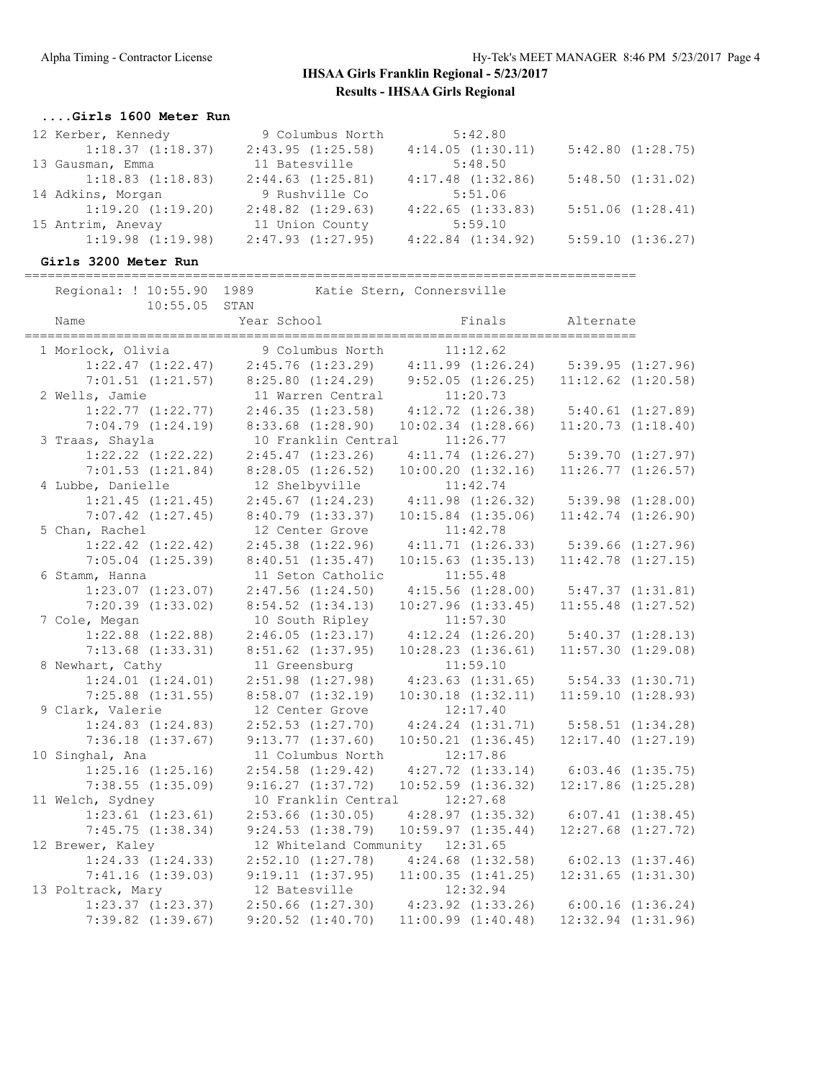#### **....Girls 1600 Meter Run**

| 12 Kerber, Kennedy    | 9 Columbus North      | 5:42.80               |                  |
|-----------------------|-----------------------|-----------------------|------------------|
| 1:18.37(1:18.37)      | 2:43.95(1:25.58)      | 4:14.05(1:30.11)      | 5:42.80(1:28.75) |
| 13 Gausman, Emma      | 11 Batesville         | 5:48.50               |                  |
| $1:18.83$ $(1:18.83)$ | 2:44.63(1:25.81)      | $4:17.48$ $(1:32.86)$ | 5:48.50(1:31.02) |
| 14 Adkins, Morgan     | 9 Rushville Co        | 5:51.06               |                  |
| 1:19.20(1:19.20)      | $2:48.82$ $(1:29.63)$ | $4:22.65$ $(1:33.83)$ | 5:51.06(1:28.41) |
| 15 Antrim, Anevay     | 11 Union County       | 5:59.10               |                  |
| $1:19.98$ $(1:19.98)$ | $2:47.93$ $(1:27.95)$ | $4:22.84$ $(1:34.92)$ | 5:59.10(1:36.27) |

#### **Girls 3200 Meter Run**

================================================================================

| Regional: ! 10:55.90 1989                  |                                 | Katie Stern, Connersville                                         |                        |
|--------------------------------------------|---------------------------------|-------------------------------------------------------------------|------------------------|
| 10:55.05<br>Name                           | STAN<br>Year School             | Finals                                                            | Alternate              |
| 1 Morlock, Olivia                          | 9 Columbus North                | 11:12.62                                                          |                        |
| $1:22.47$ $(1:22.47)$                      |                                 | $2:45.76$ $(1:23.29)$ $4:11.99$ $(1:26.24)$                       | $5:39.95$ $(1:27.96)$  |
| $7:01.51$ $(1:21.57)$                      |                                 | $8:25.80$ $(1:24.29)$ $9:52.05$ $(1:26.25)$                       | $11:12.62$ $(1:20.58)$ |
| 2 Wells, Jamie                             | 11 Warren Central               | 11:20.73                                                          |                        |
| $1:22.77$ $(1:22.77)$                      |                                 | $2:46.35$ $(1:23.58)$ $4:12.72$ $(1:26.38)$                       | $5:40.61$ $(1:27.89)$  |
| $7:04.79$ $(1:24.19)$                      | $8:33.68$ $(1:28.90)$           | $10:02.34$ $(1:28.66)$                                            | 11:20.73(1:18.40)      |
| 3 Traas, Shayla                            | 10 Franklin Central             | 11:26.77                                                          |                        |
| $1:22.22$ $(1:22.22)$                      | 2:45.47(1:23.26)                | $4:11.74$ $(1:26.27)$                                             | 5:39.70(1:27.97)       |
| $7:01.53$ $(1:21.84)$                      | $8:28.05$ $(1:26.52)$           | $10:00.20$ $(1:32.16)$                                            | $11:26.77$ $(1:26.57)$ |
| 4 Lubbe, Danielle                          | 12 Shelbyville                  | 11:42.74                                                          |                        |
| $1:21.45$ $(1:21.45)$                      | $2:45.67$ $(1:24.23)$           | $4:11.98$ $(1:26.32)$                                             | $5:39.98$ $(1:28.00)$  |
| $7:07.42$ $(1:27.45)$                      | $8:40.79$ $(1:33.37)$           | $10:15.84$ $(1:35.06)$                                            | $11:42.74$ $(1:26.90)$ |
| 5 Chan, Rachel                             | 12 Center Grove                 | 11:42.78                                                          |                        |
| $1:22.42$ $(1:22.42)$                      | $2:45.38$ $(1:22.96)$           | 4:11.71(1:26.33)                                                  | $5:39.66$ $(1:27.96)$  |
| $7:05.04$ $(1:25.39)$                      | 8:40.51(1:35.47)                | $10:15.63$ $(1:35.13)$                                            | $11:42.78$ $(1:27.15)$ |
| 6 Stamm, Hanna                             | 11 Seton Catholic               | 11:55.48                                                          |                        |
| $1:23.07$ $(1:23.07)$                      | $2:47.56$ $(1:24.50)$           | $4:15.56$ $(1:28.00)$                                             | 5:47.37(1:31.81)       |
| $7:20.39$ $(1:33.02)$                      | $8:54.52$ $(1:34.13)$           | $10:27.96$ $(1:33.45)$                                            | $11:55.48$ $(1:27.52)$ |
| 7 Cole, Megan                              | 10 South Ripley                 | 11:57.30                                                          |                        |
| $1:22.88$ $(1:22.88)$                      | 2:46.05(1:23.17)                | $4:12.24$ $(1:26.20)$                                             | 5:40.37(1:28.13)       |
| $7:13.68$ $(1:33.31)$                      | $8:51.62$ $(1:37.95)$           | $10:28.23$ $(1:36.61)$                                            | 11:57.30(1:29.08)      |
| 8 Newhart, Cathy                           | 11 Greensburg                   | 11:59.10                                                          |                        |
| 1:24.01 (1:24.01)                          | $2:51.98$ $(1:27.98)$           | $4:23.63$ $(1:31.65)$                                             | 5:54.33(1:30.71)       |
| $7:25.88$ $(1:31.55)$                      | $8:58.07$ $(1:32.19)$           | $10:30.18$ $(1:32.11)$                                            | 11:59.10(1:28.93)      |
| 9 Clark, Valerie                           | 12 Center Grove                 | 12:17.40                                                          |                        |
| $1:24.83$ $(1:24.83)$                      | $2:52.53$ $(1:27.70)$           | $4:24.24$ $(1:31.71)$                                             | 5:58.51(1:34.28)       |
| $7:36.18$ $(1:37.67)$                      | 9:13.77(1:37.60)                | $10:50.21$ $(1:36.45)$                                            | $12:17.40$ $(1:27.19)$ |
| 10 Singhal, Ana                            | 11 Columbus North               | 12:17.86                                                          |                        |
| $1:25.16$ $(1:25.16)$                      | $2:54.58$ $(1:29.42)$           | $4:27.72$ $(1:33.14)$                                             | $6:03.46$ $(1:35.75)$  |
| $7:38.55$ $(1:35.09)$                      | 9:16.27(1:37.72)                | $10:52.59$ $(1:36.32)$                                            | $12:17.86$ $(1:25.28)$ |
| 11 Welch, Sydney                           | 10 Franklin Central 12:27.68    |                                                                   |                        |
| $1:23.61$ $(1:23.61)$                      | $2:53.66$ $(1:30.05)$           | $4:28.97$ $(1:35.32)$                                             | $6:07.41$ $(1:38.45)$  |
| 7:45.75(1:38.34)                           | 9:24.53(1:38.79)                | $10:59.97$ $(1:35.44)$                                            | $12:27.68$ $(1:27.72)$ |
| 12 Brewer, Kaley                           | 12 Whiteland Community 12:31.65 |                                                                   |                        |
| $1:24.33$ $(1:24.33)$                      | $2:52.10$ $(1:27.78)$           | $4:24.68$ $(1:32.58)$                                             | $6:02.13$ $(1:37.46)$  |
| 7:41.16(1:39.03)                           | 9:19.11(1:37.95)                | $11:00.35$ $(1:41.25)$<br>12:32.94                                | $12:31.65$ $(1:31.30)$ |
| 13 Poltrack, Mary<br>$1:23.37$ $(1:23.37)$ | 12 Batesville                   |                                                                   |                        |
|                                            |                                 | $2:50.66$ $(1:27.30)$ $4:23.92$ $(1:33.26)$ $6:00.16$ $(1:36.24)$ |                        |
| $7:39.82$ $(1:39.67)$                      | $9:20.52$ $(1:40.70)$           | $11:00.99$ $(1:40.48)$                                            | $12:32.94$ $(1:31.96)$ |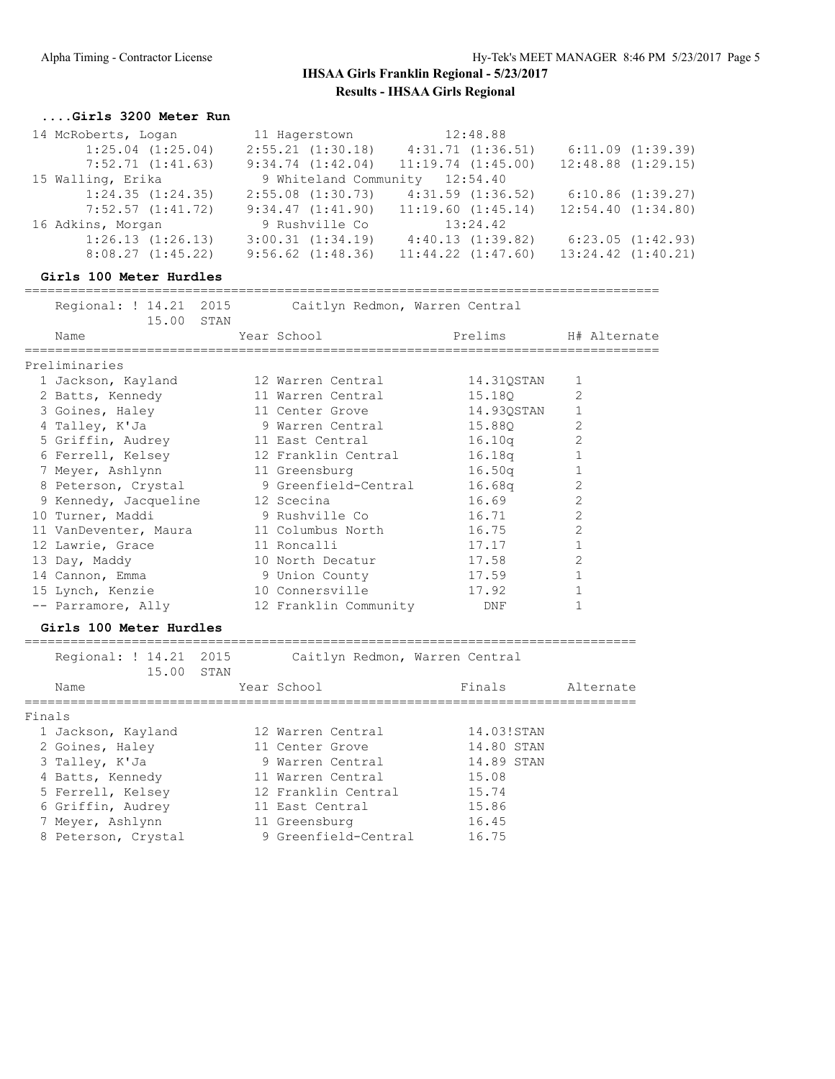#### **....Girls 3200 Meter Run**

| 14 McRoberts, Logan |                       | 11 Hagerstown                                |          | 12:48.88               |                   |                        |
|---------------------|-----------------------|----------------------------------------------|----------|------------------------|-------------------|------------------------|
|                     | $1:25.04$ $(1:25.04)$ | 2:55.21(1:30.18)                             |          | 4:31.71(1:36.51)       |                   | 6:11.09(1:39.39)       |
|                     | 7:52.71(1:41.63)      | 9:34.74(1:42.04)                             |          | $11:19.74$ $(1:45.00)$ |                   | $12:48.88$ $(1:29.15)$ |
| 15 Walling, Erika   |                       | 9 Whiteland Community 12:54.40               |          |                        |                   |                        |
|                     | 1:24.35(1:24.35)      | $2:55.08$ $(1:30.73)$                        |          | $4:31.59$ $(1:36.52)$  |                   | 6:10.86(1:39.27)       |
|                     | $7:52.57$ $(1:41.72)$ | $9:34.47$ $(1:41.90)$ $11:19.60$ $(1:45.14)$ |          |                        | 12:54.40(1:34.80) |                        |
| 16 Adkins, Morgan   |                       | 9 Rushville Co                               | 13:24.42 |                        |                   |                        |
|                     | 1:26.13(1:26.13)      | $3:00.31$ $(1:34.19)$                        |          | 4:40.13(1:39.82)       |                   | 6:23.05(1:42.93)       |
|                     | 8:08.27(1:45.22)      | $9:56.62$ $(1:48.36)$                        |          | $11:44.22$ $(1:47.60)$ |                   | $13:24.42$ $(1:40.21)$ |

### **Girls 100 Meter Hurdles**

| Regional: ! 14.21 2015<br>15.00 STAN     |  | Caitlyn Redmon, Warren Central |            |                |
|------------------------------------------|--|--------------------------------|------------|----------------|
| Name                                     |  | Year School                    | Prelims    | H# Alternate   |
| Preliminaries                            |  |                                |            |                |
| 1 Jackson, Kayland                       |  | 12 Warren Central              | 14.31QSTAN | 1              |
| 2 Batts, Kennedy 11 Warren Central       |  |                                | 15.180     | $\overline{2}$ |
| 3 Goines, Haley                          |  | 11 Center Grove                | 14.93QSTAN | 1              |
| 4 Talley, K'Ja                           |  | 9 Warren Central               | 15.880     | $\overline{2}$ |
| 5 Griffin, Audrey 11 East Central        |  |                                | 16.10q     | $\overline{2}$ |
|                                          |  |                                | 16.18q     |                |
| 7 Meyer, Ashlynn                         |  | 11 Greensburg                  | 16.50q     |                |
| 8 Peterson, Crystal 9 Greenfield-Central |  |                                | 16.68q     | 2              |
| 9 Kennedy, Jacqueline 12 Scecina         |  |                                | 16.69      | 2              |
| 10 Turner, Maddi                         |  | 9 Rushville Co                 | 16.71      | $\overline{2}$ |
| 11 VanDeventer, Maura 11 Columbus North  |  |                                | 16.75      | $\overline{2}$ |
| 12 Lawrie, Grace                         |  | 11 Roncalli                    | 17.17      |                |
| 13 Day, Maddy                            |  | 10 North Decatur               | 17.58      | $\overline{2}$ |
| 14 Cannon, Emma                          |  | 9 Union County                 | 17.59      |                |
| 15 Lynch, Kenzie                         |  | 10 Connersville                | 17.92      |                |
| -- Parramore, Ally 12 Franklin Community |  |                                | DNF        |                |
|                                          |  |                                |            |                |

### **Girls 100 Meter Hurdles**

|        | Regional: ! 14.21 2015<br>15.00 STAN | Caitlyn Redmon, Warren Central |            |           |
|--------|--------------------------------------|--------------------------------|------------|-----------|
|        | Name                                 | Year School                    | Finals     | Alternate |
| Finals |                                      |                                |            |           |
|        | 1 Jackson, Kayland                   | 12 Warren Central              | 14.03!STAN |           |
|        | 2 Goines, Haley                      | 11 Center Grove                | 14.80 STAN |           |
|        | 3 Talley, K'Ja                       | 9 Warren Central               | 14.89 STAN |           |
|        | 4 Batts, Kennedy                     | 11 Warren Central              | 15.08      |           |
|        | 5 Ferrell, Kelsey                    | 12 Franklin Central            | 15.74      |           |
|        | 6 Griffin, Audrey                    | 11 East Central                | 15.86      |           |
|        | 7 Meyer, Ashlynn                     | 11 Greensburg                  | 16.45      |           |
|        | 8 Peterson, Crystal                  | 9 Greenfield-Central           | 16.75      |           |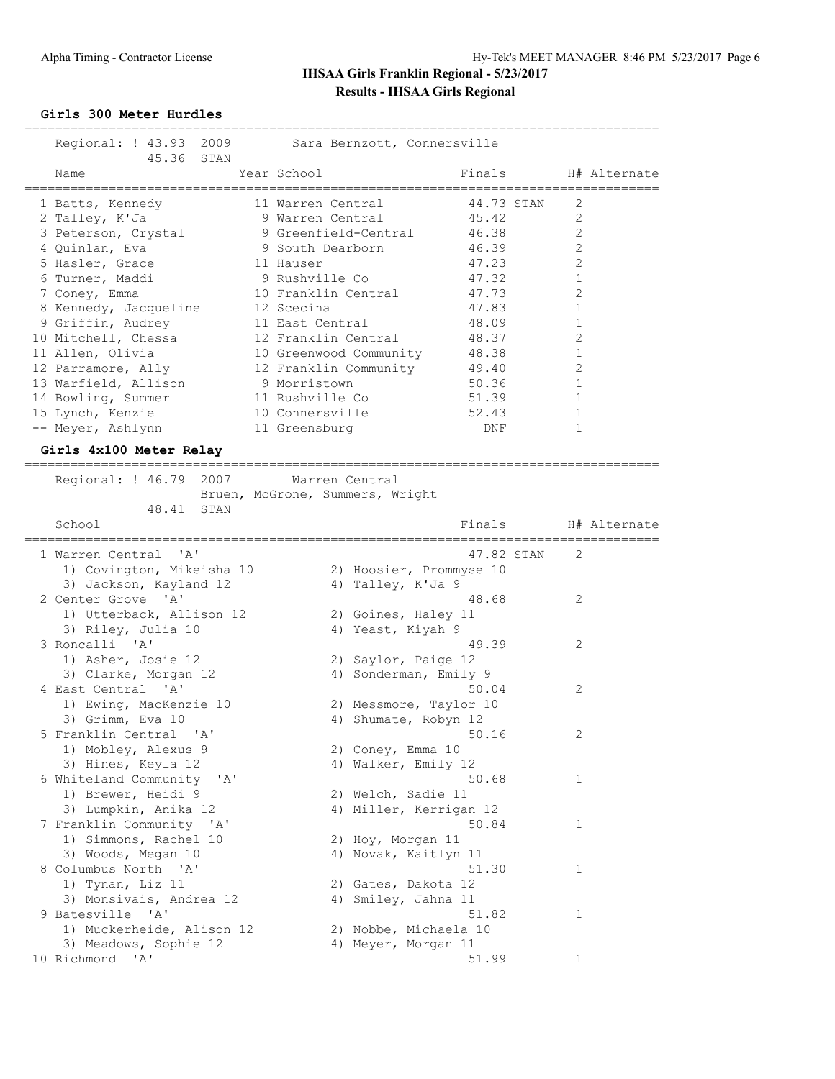#### **Girls 300 Meter Hurdles**

| ==========================<br>_______________________________<br>Regional: ! 43.93 2009 Sara Bernzott, Connersville |  |                                              |            |                        |              |  |  |
|---------------------------------------------------------------------------------------------------------------------|--|----------------------------------------------|------------|------------------------|--------------|--|--|
| 45.36 STAN<br>Name                                                                                                  |  | Year School                                  | Finals     |                        | H# Alternate |  |  |
| 1 Batts, Kennedy                                                                                                    |  | 11 Warren Central                            | 44.73 STAN | 2                      |              |  |  |
| 2 Talley, K'Ja                                                                                                      |  | 9 Warren Central                             | 45.42      | $\mathfrak{D}$         |              |  |  |
| 3 Peterson, Crystal                                                                                                 |  | 9 Greenfield-Central                         | 46.38      | $\overline{2}$         |              |  |  |
| 4 Quinlan, Eva                                                                                                      |  | 9 South Dearborn                             | 46.39      | 2                      |              |  |  |
| 5 Hasler, Grace                                                                                                     |  | 11 Hauser                                    | 47.23      | $\overline{2}$         |              |  |  |
| 6 Turner, Maddi                                                                                                     |  | 9 Rushville Co                               | 47.32      | $\mathbf{1}$           |              |  |  |
| 7 Coney, Emma                                                                                                       |  | 10 Franklin Central                          | 47.73      | $\mathbf{2}$           |              |  |  |
| 8 Kennedy, Jacqueline 12 Scecina                                                                                    |  |                                              | 47.83      | $\mathbf{1}$           |              |  |  |
| 9 Griffin, Audrey                                                                                                   |  | 11 East Central                              | 48.09      | $\mathbf{1}$           |              |  |  |
|                                                                                                                     |  |                                              | 48.37      | $\overline{2}$         |              |  |  |
| 11 Allen, Olivia                                                                                                    |  | 10 Greenwood Community                       | 48.38      | $\mathbf 1$            |              |  |  |
| 12 Parramore, Ally                                                                                                  |  | 12 Franklin Community                        | 49.40      | $\overline{2}$         |              |  |  |
| 13 Warfield, Allison                                                                                                |  | 9 Morristown                                 | 50.36      | 1                      |              |  |  |
| 14 Bowling, Summer                                                                                                  |  | 11 Rushville Co                              | 51.39      | $\mathbf{1}$           |              |  |  |
| 15 Lynch, Kenzie                                                                                                    |  | 10 Connersville                              | 52.43      | $\mathbf{1}$           |              |  |  |
| -- Meyer, Ashlynn                                                                                                   |  | 11 Greensburg                                | DNF        | 1                      |              |  |  |
| Girls 4x100 Meter Relay                                                                                             |  |                                              |            |                        |              |  |  |
| Regional: ! 46.79 2007 Warren Central                                                                               |  | Bruen, McGrone, Summers, Wright              |            |                        |              |  |  |
| 48.41<br>STAN<br>School                                                                                             |  |                                              | Finals     | ---------------------- | H# Alternate |  |  |
| 1 Warren Central 'A'<br>1) Covington, Mikeisha 10<br>3) Jackson, Kayland 12                                         |  | 2) Hoosier, Prommyse 10<br>4) Talley, K'Ja 9 | 47.82 STAN | $\mathcal{L}$          |              |  |  |
| 2 Center Grove 'A'                                                                                                  |  |                                              | 48.68      | 2                      |              |  |  |
| 1) Utterback, Allison 12                                                                                            |  | 2) Goines, Haley 11                          |            |                        |              |  |  |

3) Riley, Julia 10 4) Yeast, Kiyah 9

 1) Mobley, Alexus 9 2) Coney, Emma 10 3) Hines, Keyla 12 4) Walker, Emily 12

1) Brewer, Heidi 9 2) Welch, Sadie 11 3) Lumpkin, Anika 12 4) Miller, Kerrigan 12

1) Simmons, Rachel 10 2) Hoy, Morgan 11 3) Woods, Megan 10 4) Novak, Kaitlyn 11

1) Tynan, Liz 11 2) Gates, Dakota 12 3) Monsivais, Andrea 12 (4) Amiley, Jahna 11

 1) Muckerheide, Alison 12 2) Nobbe, Michaela 10 3) Meadows, Sophie 12 (4) Meyer, Morgan 11

1) Asher, Josie 12 2) Saylor, Paige 12 3) Clarke, Morgan 12 4) Sonderman, Emily 9

 1) Ewing, MacKenzie 10 2) Messmore, Taylor 10 3) Grimm, Eva 10 10 4) Shumate, Robyn 12

3 Roncalli 'A' 49.39 2

4 East Central 'A' 50.04 2

5 Franklin Central 'A' 50.16 2

6 Whiteland Community 'A' 50.68 1

7 Franklin Community 'A' 30.84 1

8 Columbus North 'A' 51.30 1

9 Batesville 'A' 51.82 1

10 Richmond 'A' 51.99 1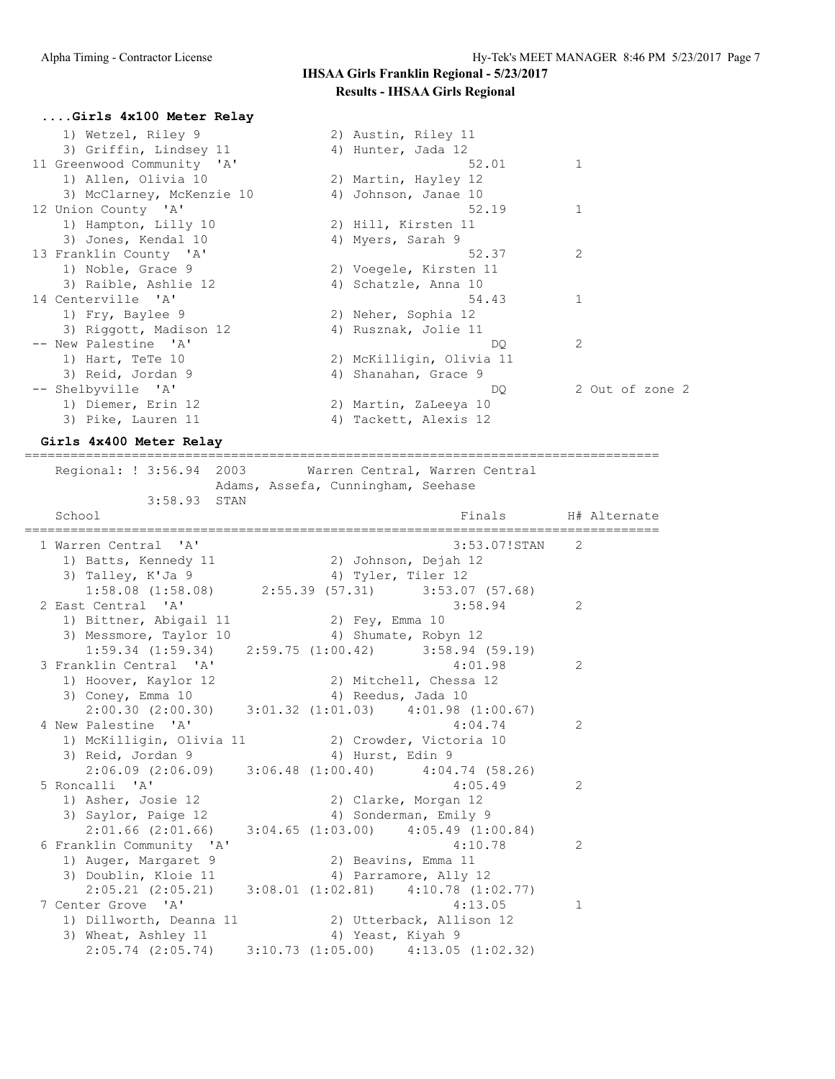| Girls 4x100 Meter Relay    |                          |                 |
|----------------------------|--------------------------|-----------------|
| 1) Wetzel, Riley 9         | 2) Austin, Riley 11      |                 |
| 3) Griffin, Lindsey 11     | 4) Hunter, Jada 12       |                 |
| 11 Greenwood Community 'A' | 52.01                    | 1               |
| 1) Allen, Olivia 10        | 2) Martin, Hayley 12     |                 |
| 3) McClarney, McKenzie 10  | 4) Johnson, Janae 10     |                 |
| 12 Union County 'A'        | 52.19                    |                 |
| 1) Hampton, Lilly 10       | 2) Hill, Kirsten 11      |                 |
| 3) Jones, Kendal 10        | 4) Myers, Sarah 9        |                 |
| 13 Franklin County 'A'     | 52.37                    | 2               |
| 1) Noble, Grace 9          | 2) Voegele, Kirsten 11   |                 |
| 3) Raible, Ashlie 12       | 4) Schatzle, Anna 10     |                 |
| 14 Centerville 'A'         | 54.43                    | 1               |
| 1) Fry, Baylee 9           | 2) Neher, Sophia 12      |                 |
| 3) Riggott, Madison 12     | 4) Rusznak, Jolie 11     |                 |
| -- New Palestine 'A'       | DO.                      | 2               |
| 1) Hart, TeTe 10           | 2) McKilligin, Olivia 11 |                 |
| 3) Reid, Jordan 9          | 4) Shanahan, Grace 9     |                 |
| -- Shelbyville 'A'         | DQ.                      | 2 Out of zone 2 |
| 1) Diemer, Erin 12         | 2) Martin, ZaLeeya 10    |                 |
| 3) Pike, Lauren 11         | 4) Tackett, Alexis 12    |                 |

### **Girls 4x400 Meter Relay**

===================================================================================

 Regional: ! 3:56.94 2003 Warren Central, Warren Central Adams, Assefa, Cunningham, Seehase 3:58.93 STAN<br>School Finals H# Alternate =================================================================================== 1 Warren Central 'A' 3:53.07!STAN 2 1) Batts, Kennedy 11 2) Johnson, Dejah 12 3) Talley, K'Ja 9 4) Tyler, Tiler 12 1:58.08 (1:58.08) 2:55.39 (57.31) 3:53.07 (57.68) 2 East Central 'A' 3:58.94 2 1) Bittner, Abigail 11 2) Fey, Emma 10<br>3) Messmore, Taylor 10 4) Shumate Roby 3) Messmore, Taylor 10 4) Shumate, Robyn 12 1:59.34 (1:59.34) 2:59.75 (1:00.42) 3:58.94 (59.19) 3 Franklin Central 'A' 4:01.98 2 1) Hoover, Kaylor 12 2) Mitchell, Chessa 12 3) Coney, Emma 10 4) Reedus, Jada 10 2:00.30 (2:00.30) 3:01.32 (1:01.03) 4:01.98 (1:00.67)<br>Palestine 'A' 4:04.74 4 New Palestine 'A' 2 1) McKilligin, Olivia 11 2) Crowder, Victoria 10 3) Reid, Jordan 9 (4) Hurst, Edin 9 2:06.09 (2:06.09) 3:06.48 (1:00.40) 4:04.74 (58.26) 5 Roncalli 'A' 4:05.49 2 1) Asher, Josie 12 2) Clarke, Morgan 12 3) Saylor, Paige 12 4) Sonderman, Emily 9 2:01.66 (2:01.66) 3:04.65 (1:03.00) 4:05.49 (1:00.84) 6 Franklin Community 'A' 4:10.78 2 1) Auger, Margaret 9 2) Beavins, Emma 11<br>3) Doublin, Kloie 11 4) Parramore, Ally 12 3) Doublin, Kloie 11 4) Parramore, Ally 12 2:05.21 (2:05.21) 3:08.01 (1:02.81) 4:10.78 (1:02.77) 7 Center Grove 'A' 4:13.05 1 1) Dillworth, Deanna 11 2) Utterback, Allison 12 3) Wheat, Ashley 11 4) Yeast, Kiyah 9 2:05.74 (2:05.74) 3:10.73 (1:05.00) 4:13.05 (1:02.32)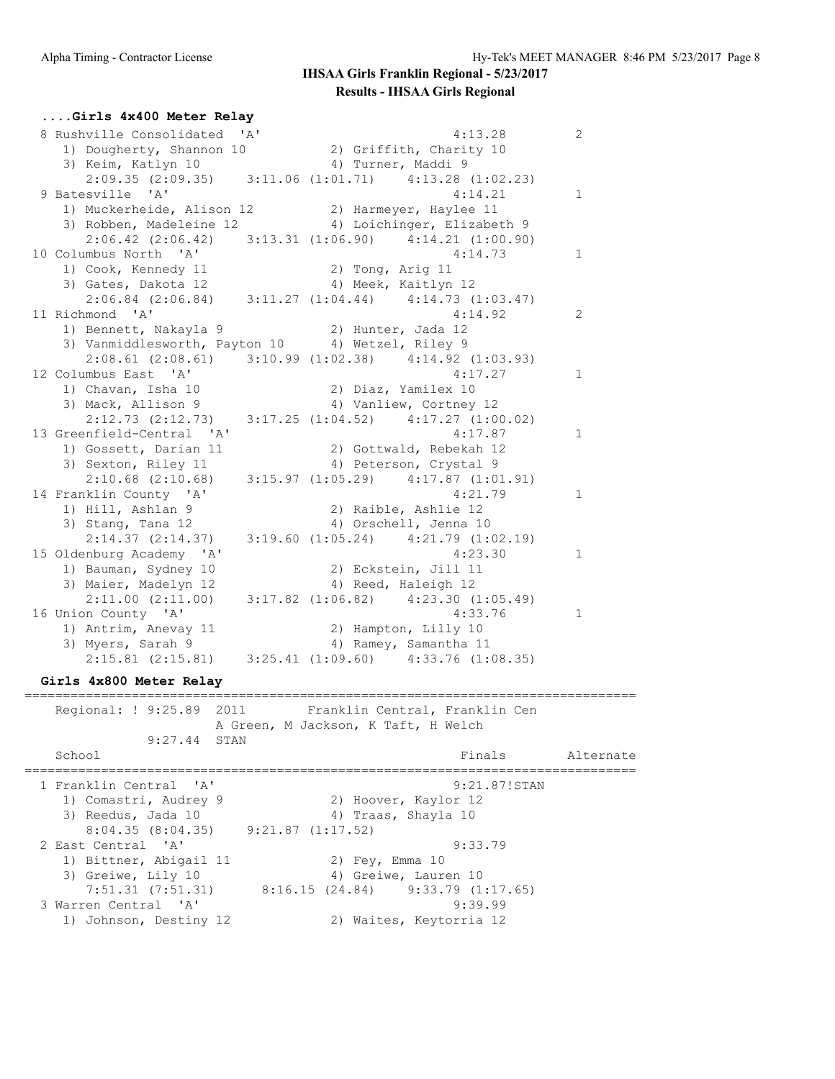### **....Girls 4x400 Meter Relay** 8 Rushville Consolidated 'A' 4:13.28 2 1) Dougherty, Shannon 10 2) Griffith, Charity 10 3) Keim, Katlyn 10 10 10 4) Turner, Maddi 9 2:09.35 (2:09.35) 3:11.06 (1:01.71) 4:13.28 (1:02.23) 9 Batesville 'A' 14:14.21 1 1) Muckerheide, Alison 12 2) Harmeyer, Haylee 11 3) Robben, Madeleine 12 4) Loichinger, Elizabeth 9 2:06.42 (2:06.42) 3:13.31 (1:06.90) 4:14.21 (1:00.90)<br>
lumbus North 'A' 4:14.73 1 10 Columbus North 'A' 4:14.73 1 1) Cook, Kennedy 11 2) Tong, Arig 11 3) Gates, Dakota 12 (4) Meek, Kaitlyn 12 2:06.84 (2:06.84) 3:11.27 (1:04.44) 4:14.73 (1:03.47) 11 Richmond 'A' 4:14.92 2 :<br>2) Hunter, Jada 12<br>3) Vanmiddlesworth, Payton 10 4) Wetzel, Riley 9 3) Vanmiddlesworth, Payton 10 4) Wetzel, Riley 9 2:08.61 (2:08.61) 3:10.99 (1:02.38) 4:14.92 (1:03.93) 12 Columbus East 'A' 4:17.27 1 1) Chavan, Isha 10 2) Diaz, Yamilex 10 3) Mack, Allison 9 4) Vanliew, Cortney 12 2:12.73 (2:12.73) 3:17.25 (1:04.52) 4:17.27 (1:00.02) 13 Greenfield-Central 'A' 4:17.87 1 1) Gossett, Darian 11 2) Gottwald, Rebekah 12 3) Sexton, Riley 11 4) Peterson, Crystal 9 1) Gosseic, 2011...<br>
3) Sexton, Riley 11 (2:10.68) 4:17.87 (1:01.91)<br>
2:10.68 (2:10.68) 3:15.97 (1:05.29) 4:17.87 (1:01.91)<br>
4:21.79 1 14 Franklin County 'A' 4:21.79 1 1) Hill, Ashlan 9 2) Raible, Ashlie 12 3) Stang, Tana 12 4) Orschell, Jenna 10 2:14.37 (2:14.37) 3:19.60 (1:05.24) 4:21.79 (1:02.19) 15 Oldenburg Academy 'A' 4:23.30 1 1) Bauman, Sydney 10 2) Eckstein, Jill 11 3) Maier, Madelyn 12 19 10 12 12 4) Reed, Haleigh 12 2:11.00 (2:11.00) 3:17.82 (1:06.82) 4:23.30 (1:05.49) 16 Union County 'A' 4:33.76 1 1) Antrim, Anevay 11 2) Hampton, Lilly 10 3) Myers, Sarah 9 4) Ramey, Samantha 11 2:15.81 (2:15.81) 3:25.41 (1:09.60) 4:33.76 (1:08.35) **Girls 4x800 Meter Relay** ================================================================================

Regional: ! 9:25.89 2011 Franklin Central, Franklin Cen A Green, M Jackson, K Taft, H Welch 9:27.44 STAN School **Finals** Alternate ================================================================================ 1 Franklin Central 'A' 9:21.87!STAN 1) Comastri, Audrey 9 2) Hoover, Kaylor 12 3) Reedus, Jada 10 4) Traas, Shayla 10 8:04.35 (8:04.35) 9:21.87 (1:17.52) 2 East Central 'A' 9:33.79 1) Bittner, Abigail 11 2) Fey, Emma 10 3) Greiwe, Lily 10 (4) Greiwe, Lauren 10 7:51.31 (7:51.31) 8:16.15 (24.84) 9:33.79 (1:17.65) 3 Warren Central 'A' 9:39.99 1) Johnson, Destiny 12 2) Waites, Keytorria 12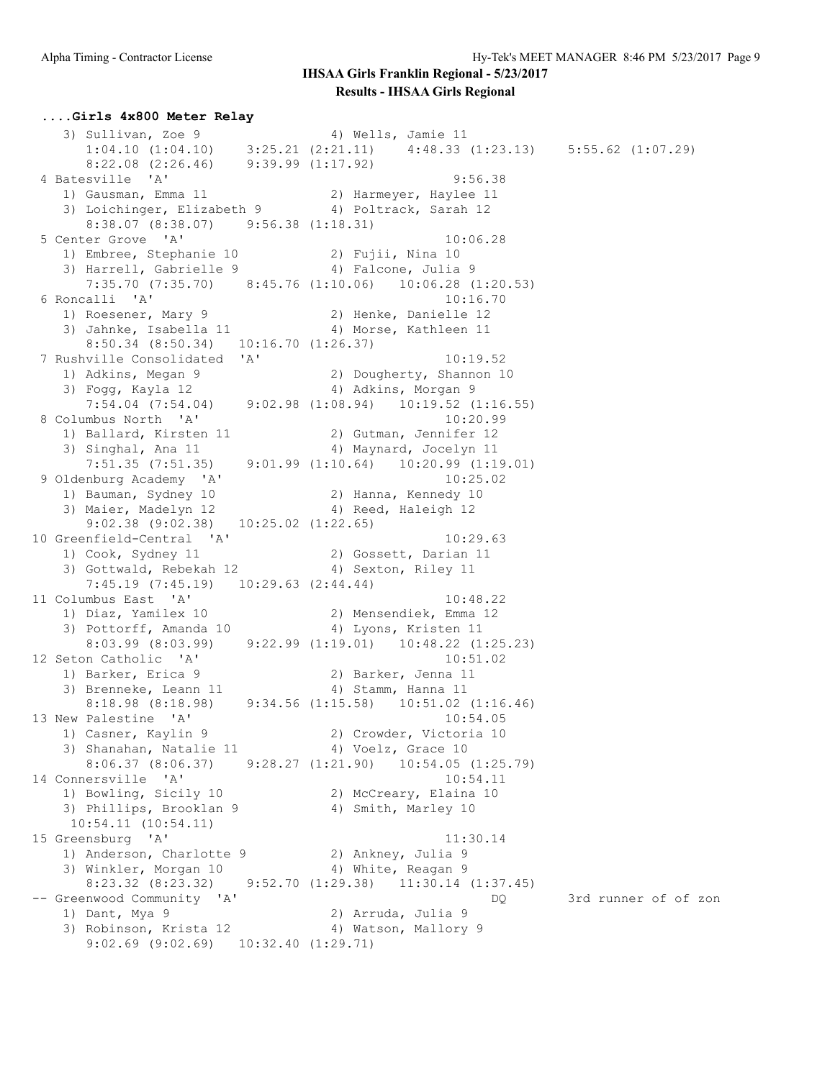**....Girls 4x800 Meter Relay** 3) Sullivan, Zoe 9 4) Wells, Jamie 11 1:04.10 (1:04.10) 3:25.21 (2:21.11) 4:48.33 (1:23.13) 5:55.62 (1:07.29) 8:22.08 (2:26.46) 9:39.99 (1:17.92) 4 Batesville 'A' 9:56.38 1) Gausman, Emma 11 2) Harmeyer, Haylee 11 3) Loichinger, Elizabeth 9 4) Poltrack, Sarah 12 8:38.07 (8:38.07) 9:56.38 (1:18.31) 5 Center Grove 'A' 10:06.28 1) Embree, Stephanie 10  $\qquad \qquad$  2) Fujii, Nina 10 3) Harrell, Gabrielle 9 (4) Falcone, Julia 9 7:35.70 (7:35.70) 8:45.76 (1:10.06) 10:06.28 (1:20.53)<br>6 Roncalli 'A' 10:16.70 6 Roncalli 'A' 10:16.70 1) Roesener, Mary 9 2) Henke, Danielle 12 3) Jahnke, Isabella 11 4) Morse, Kathleen 11 8:50.34 (8:50.34) 10:16.70 (1:26.37) 7 Rushville Consolidated 'A' 10:19.52 1) Adkins, Megan 9 2) Dougherty, Shannon 10 3) Fogg, Kayla 12 4) Adkins, Morgan 9 7:54.04 (7:54.04) 9:02.98 (1:08.94) 10:19.52 (1:16.55)<br>umbus North 'A' 10:20.99 8 Columbus North 'A' 1) Ballard, Kirsten 11 2) Gutman, Jennifer 12 3) Singhal, Ana 11 4) Maynard, Jocelyn 11 7:51.35 (7:51.35) 9:01.99 (1:10.64) 10:20.99 (1:19.01) 9 Oldenburg Academy 'A' 10:25.02 1) Bauman, Sydney 10  $\hskip1cm 2)$  Hanna, Kennedy 10 3) Maier, Madelyn 12 19 10 12 12 4) Reed, Haleigh 12  $9:02.38$   $(9:02.38)$   $10:25.02$   $(1:22.65)$ 10 Greenfield-Central 'A' 10:29.63<br>1) Cook, Sydney 11 2) Gossett, Darian 11 1) Cook, Sydney 11 2) Gossett, Darian 11 3) Gottwald, Rebekah 12 (4) Sexton, Riley 11 7:45.19 (7:45.19) 10:29.63 (2:44.44)<br>11 Columbus East 'A' 11 Columbus East 'A' 10:48.22 1) Diaz, Yamilex 10 2) Mensendiek, Emma 12 3) Pottorff, Amanda 10 (4) Lyons, Kristen 11 8:03.99 (8:03.99) 9:22.99 (1:19.01) 10:48.22 (1:25.23) 12 Seton Catholic 'A' 10:51.02 1) Barker, Erica 9 2) Barker, Jenna 11 3) Brenneke, Leann 11 (4) Stamm, Hanna 11 8:18.98 (8:18.98) 9:34.56 (1:15.58) 10:51.02 (1:16.46) 13 New Palestine 'A' 10:54.05 1) Casner, Kaylin 9 2) Crowder, Victoria 10 3) Shanahan, Natalie 11  $\hspace{1cm}$  4) Voelz, Grace 10 8:06.37 (8:06.37) 9:28.27 (1:21.90) 10:54.05 (1:25.79) 14 Connersville 'A' 10:54.11 1) Bowling, Sicily 10 2) McCreary, Elaina 10 3) Phillips, Brooklan 9 (4) Smith, Marley 10 10:54.11 (10:54.11) 15 Greensburg 'A' 11:30.14 1) Anderson, Charlotte 9 2) Ankney, Julia 9 3) Winkler, Morgan 10  $\hskip1cm$  4) White, Reagan 9 8:23.32 (8:23.32) 9:52.70 (1:29.38) 11:30.14 (1:37.45) -- Greenwood Community 'A' DQ 3rd runner of of zon 1) Dant, Mya 9 2) Arruda, Julia 9 3) Robinson, Krista 12  $\hskip1cm$  4) Watson, Mallory 9 9:02.69 (9:02.69) 10:32.40 (1:29.71)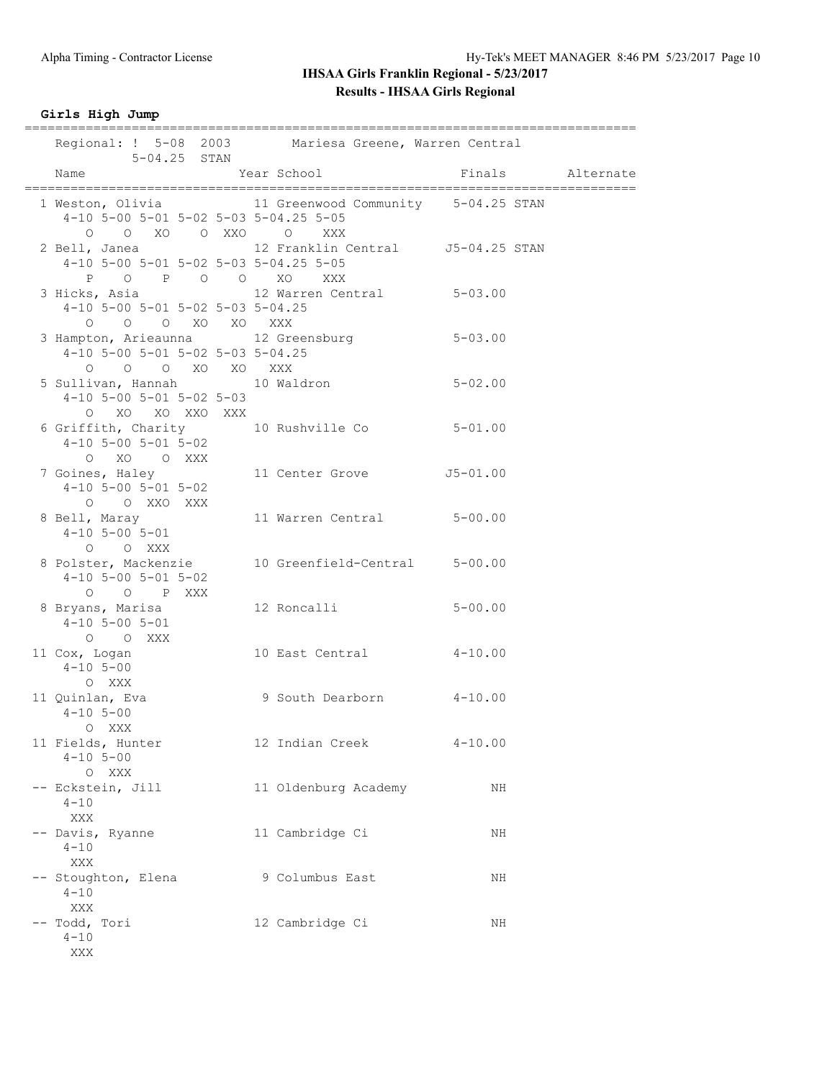### **Girls High Jump**

| $5 - 04.25$ STAN                                                               | Regional: ! 5-08 2003 Mariesa Greene, Warren Central |                  |  |
|--------------------------------------------------------------------------------|------------------------------------------------------|------------------|--|
| Name                                                                           | Year School                                          | Finals Alternate |  |
| 4-10 5-00 5-01 5-02 5-03 5-04.25 5-05<br>0 0 XO 0 XXO 0 XXX                    | 1 Weston, Olivia 11 Greenwood Community 5-04.25 STAN |                  |  |
| 4-10 5-00 5-01 5-02 5-03 5-04.25 5-05<br>P O P O O XO XXX                      | 2 Bell, Janea (12 Franklin Central (15-04.25 STAN    |                  |  |
| 4-10 5-00 5-01 5-02 5-03 5-04.25<br>0 0 0 XO XO XXX                            | 3 Hicks, Asia (12 Warren Central 5-03.00             |                  |  |
| 4-10 5-00 5-01 5-02 5-03 5-04.25<br>0 0 0 XO XO XXX                            | 3 Hampton, Arieaunna 12 Greensburg 5-03.00           |                  |  |
| 5 Sullivan, Hannah 10 Waldron<br>$4-10$ 5-00 5-01 5-02 5-03<br>0 XO XO XXO XXX |                                                      | $5 - 02.00$      |  |
| $4-10$ 5-00 5-01 5-02<br>O XO O XXX                                            | 6 Griffith, Charity 10 Rushville Co 5-01.00          |                  |  |
| 7 Goines, Haley<br>$4-10$ 5-00 5-01 5-02<br>O O XXO XXX                        | 11 Center Grove 55-01.00                             |                  |  |
| $4-10$ 5-00 5-01<br>O O XXX                                                    | 8 Bell, Maray 11 Warren Central 5-00.00              |                  |  |
| $4-10$ 5-00 5-01 5-02<br>O O P XXX                                             | 8 Polster, Mackenzie 10 Greenfield-Central 5-00.00   |                  |  |
| $4-10$ 5-00 5-01<br>O O XXX                                                    |                                                      |                  |  |
| 11 $\cos$ , Logan<br>4-10 5-00<br>$4 - 10$ 5-00<br>O XXX                       | 10 East Central 4-10.00                              |                  |  |
| 11 Quinlan, Eva<br>$4 - 10$ 5-00<br>O XXX                                      | 9 South Dearborn 4-10.00                             |                  |  |
| 11 Fields, Hunter<br>$4 - 10$ 5-00<br>O XXX                                    | 12 Indian Creek                                      | $4 - 10.00$      |  |
| -- Eckstein, Jill<br>$4 - 10$<br>XXX                                           | 11 Oldenburg Academy                                 | ΝH               |  |
| -- Davis, Ryanne<br>$4 - 10$<br><b>XXX</b>                                     | 11 Cambridge Ci                                      | ΝH               |  |
| -- Stoughton, Elena<br>$4 - 10$<br>XXX                                         | 9 Columbus East                                      | ΝH               |  |
| -- Todd, Tori<br>$4 - 10$<br>XXX                                               | 12 Cambridge Ci                                      | ΝH               |  |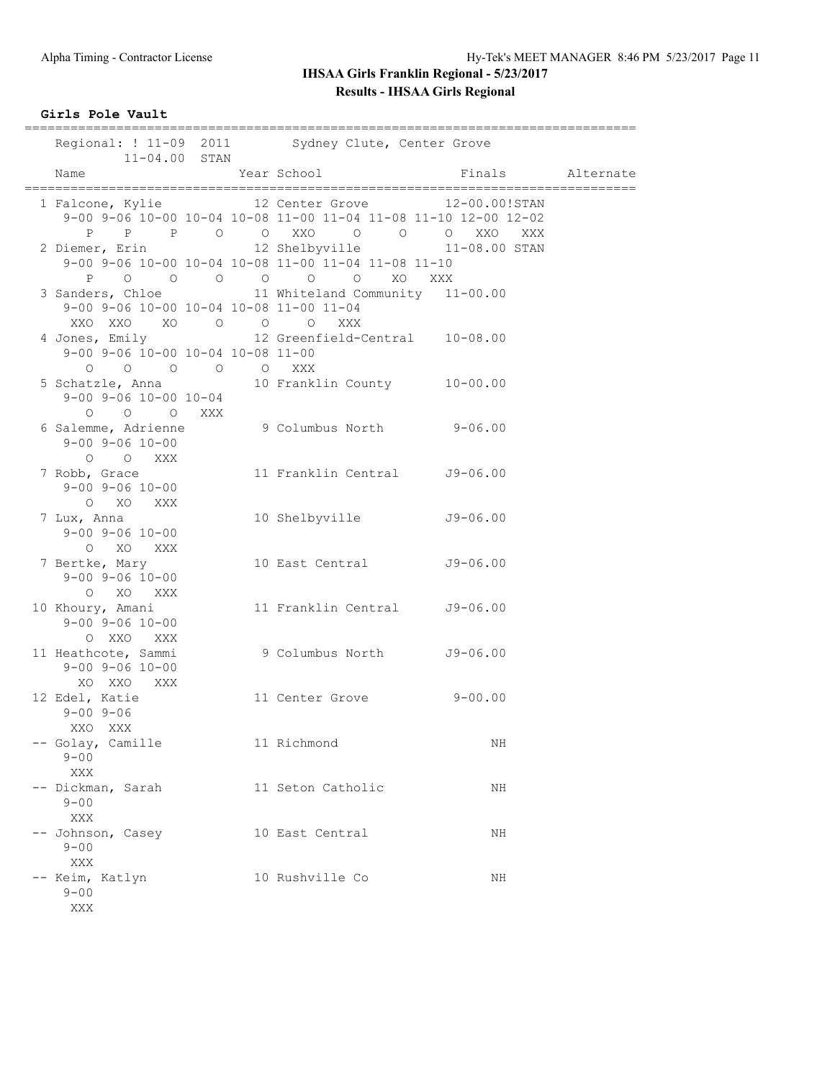### **Girls Pole Vault**

| $11 - 04.00$ STAN                                                                                                                                                    |             | Regional: ! 11-09 2011 Sydney Clute, Center Grove                                                                                                |                  |  |
|----------------------------------------------------------------------------------------------------------------------------------------------------------------------|-------------|--------------------------------------------------------------------------------------------------------------------------------------------------|------------------|--|
| Name                                                                                                                                                                 | Year School |                                                                                                                                                  | Finals Alternate |  |
|                                                                                                                                                                      |             | 1 Falcone, Kylie 12 Center Grove 12-00.00!STAN<br>9-00 9-06 10-00 10-04 10-08 11-00 11-04 11-08 11-10 12-00 12-02<br>P P P O O XXO O O O XXO XXX |                  |  |
|                                                                                                                                                                      |             | 2 Diemer, Erin 12 Shelbyville 11-08.00 STAN<br>9-00 9-06 10-00 10-04 10-08 11-00 11-04 11-08 11-10                                               |                  |  |
| 9-00 9-06 10-00 10-04 10-08 11-00 11-04<br>XXO XXO XO O O O XXX                                                                                                      |             | 3 Sanders, Chloe 11 Whiteland Community 11-00.00                                                                                                 |                  |  |
| 9-00 9-06 10-00 10-04 10-08 11-00<br>$\begin{matrix} \mathsf{O} & \mathsf{O} & \mathsf{O} & \mathsf{O} & \mathsf{O} & \mathsf{X} \mathsf{X} \mathsf{X} \end{matrix}$ |             | 4 Jones, Emily 12 Greenfield-Central 10-08.00                                                                                                    |                  |  |
| $9 - 00$ $9 - 06$ $10 - 00$ $10 - 04$<br>0 0 0 XXX                                                                                                                   |             | 5 Schatzle, Anna 10 Franklin County 10-00.00                                                                                                     |                  |  |
| $9 - 00$ $9 - 06$ $10 - 00$<br>O O XXX                                                                                                                               |             | 6 Salemme, Adrienne 9 Columbus North 9-06.00                                                                                                     |                  |  |
| 7 Robb, Grace<br>$9 - 00$ $9 - 06$ $10 - 00$<br>O XO XXX                                                                                                             |             | 11 Franklin Central J9-06.00                                                                                                                     |                  |  |
| 7 Lux, Anna<br>$9 - 00$ $9 - 06$ $10 - 00$<br>O XO XXX                                                                                                               |             | 10 Shelbyville                                                                                                                                   | $J9 - 06.00$     |  |
| 7 Bertke, Mary<br>$9 - 00$ $9 - 06$ $10 - 00$<br>O XO XXX                                                                                                            |             | 10 East Central                                                                                                                                  | $J9 - 06.00$     |  |
| 10 Khoury, Amani<br>$9 - 00$ $9 - 06$ $10 - 00$<br>O XXO XXX                                                                                                         |             | 11 Franklin Central                                                                                                                              | $J9 - 06.00$     |  |
| 11 Heathcote, Sammi<br>$9 - 00$ $9 - 06$ $10 - 00$<br>XO XXO XXX                                                                                                     |             | 9 Columbus North                                                                                                                                 | $J9 - 06.00$     |  |
| 12 Edel, Katie<br>$9 - 00$ $9 - 06$<br>XXO XXX                                                                                                                       |             | 11 Center Grove 9-00.00                                                                                                                          |                  |  |
| -- Golay, Camille<br>$9 - 00$<br>XXX                                                                                                                                 |             | 11 Richmond                                                                                                                                      | ΝH               |  |
| -- Dickman, Sarah<br>$9 - 00$<br>XXX                                                                                                                                 |             | 11 Seton Catholic                                                                                                                                | NH               |  |
| -- Johnson, Casey<br>$9 - 00$<br>XXX                                                                                                                                 |             | 10 East Central                                                                                                                                  | NH               |  |
| -- Keim, Katlyn<br>$9 - 00$<br>XXX                                                                                                                                   |             | 10 Rushville Co                                                                                                                                  | NH               |  |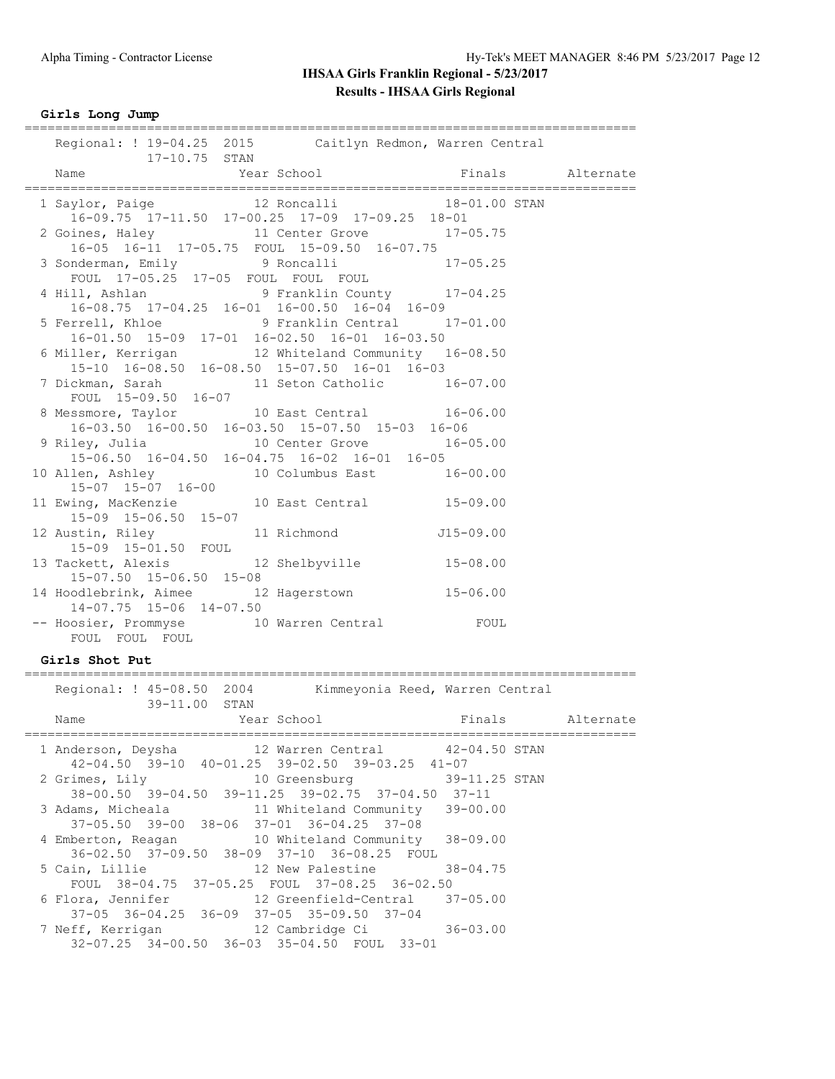### **Girls Long Jump**

| Regional: ! 19-04.25 2015 Caitlyn Redmon, Warren Central<br>17-10.75 STAN                                      |                                                             |  |
|----------------------------------------------------------------------------------------------------------------|-------------------------------------------------------------|--|
|                                                                                                                |                                                             |  |
| 1 Saylor, Paige 12 Roncalli 18-01.00 STAN                                                                      |                                                             |  |
| 2 Goines, Haley 11 Center Grove 17-05.75                                                                       | $16-09.75$ $17-11.50$ $17-00.25$ $17-09$ $17-09.25$ $18-01$ |  |
| 3 Sonderman, Emily 9 Roncalli 17-05.25<br>FOUL 17-05.25 17-05 FOUL FOUL FOUL                                   | 16-05 16-11 17-05.75 FOUL 15-09.50 16-07.75                 |  |
| 4 Hill, Ashlan 9 Franklin County 17-04.25                                                                      | 16-08.75 17-04.25 16-01 16-00.50 16-04 16-09                |  |
| 5 Ferrell, Khloe 5 9 Franklin Central 17-01.00                                                                 | 16-01.50 15-09 17-01 16-02.50 16-01 16-03.50                |  |
| 6 Miller, Kerrigan 12 Whiteland Community 16-08.50<br>$15-10$ $16-08.50$ $16-08.50$ $15-07.50$ $16-01$ $16-03$ |                                                             |  |
| 7 Dickman, Sarah 11 Seton Catholic 16-07.00<br>FOUL 15-09.50 16-07                                             |                                                             |  |
| 8 Messmore, Taylor 10 East Central 16-06.00<br>16-03.50 16-00.50 16-03.50 15-07.50 15-03 16-06                 |                                                             |  |
| 9 Riley, Julia 10 Center Grove 16-05.00<br>15-06.50 16-04.50 16-04.75 16-02 16-01 16-05                        |                                                             |  |
| 10 Allen, Ashley 10 Columbus East 16-00.00<br>15-07 15-07 16-00                                                |                                                             |  |
| 11 Ewing, MacKenzie 10 East Central 15-09.00<br>15-09 15-06.50 15-07                                           |                                                             |  |
| 12 Austin, Riley 11 Richmond 515-09.00                                                                         |                                                             |  |
| 15-09 15-01.50 FOUL<br>13 Tackett, Alexis 12 Shelbyville 15-08.00<br>15-07.50 15-06.50 15-08                   |                                                             |  |
| 14 Hoodlebrink, Aimee 12 Hagerstown 15-06.00<br>$14-07.75$ 15-06 14-07.50                                      |                                                             |  |
| -- Hoosier, Prommyse 10 Warren Central FOUL<br>FOUL FOUL FOUL                                                  |                                                             |  |
| Girls Shot Put                                                                                                 |                                                             |  |

|  | Regional: ! 45-08.50 2004 |                      | Kimmeyonia Reed, Warren Central                       |                  |  |
|--|---------------------------|----------------------|-------------------------------------------------------|------------------|--|
|  |                           | 39-11.00 STAN        |                                                       |                  |  |
|  | Name                      | External Year School |                                                       | Finals Alternate |  |
|  |                           |                      | 1 Anderson, Deysha  12 Warren Central  42-04.50 STAN  |                  |  |
|  |                           |                      | 42-04.50 39-10 40-01.25 39-02.50 39-03.25 41-07       |                  |  |
|  |                           |                      | 2 Grimes, Lily 10 Greensburg 39-11.25 STAN            |                  |  |
|  |                           |                      | 38-00.50 39-04.50 39-11.25 39-02.75 37-04.50 37-11    |                  |  |
|  |                           |                      | 3 Adams, Micheala 11 Whiteland Community 39-00.00     |                  |  |
|  |                           |                      | $37-05.50$ $39-00$ $38-06$ $37-01$ $36-04.25$ $37-08$ |                  |  |
|  |                           |                      | 4 Emberton, Reagan 10 Whiteland Community 38-09.00    |                  |  |
|  |                           |                      | 36-02.50 37-09.50 38-09 37-10 36-08.25 FOUL           |                  |  |
|  |                           |                      | 5 Cain, Lillie 12 New Palestine 38-04.75              |                  |  |
|  |                           |                      | FOUL 38-04.75 37-05.25 FOUL 37-08.25 36-02.50         |                  |  |
|  |                           |                      | 6 Flora, Jennifer 12 Greenfield-Central 37-05.00      |                  |  |
|  |                           |                      | $37-05$ $36-04.25$ $36-09$ $37-05$ $35-09.50$ $37-04$ |                  |  |
|  |                           |                      | 7 Neff, Kerrigan 12 Cambridge Ci 36-03.00             |                  |  |
|  |                           |                      | 32-07.25 34-00.50 36-03 35-04.50 FOUL 33-01           |                  |  |
|  |                           |                      |                                                       |                  |  |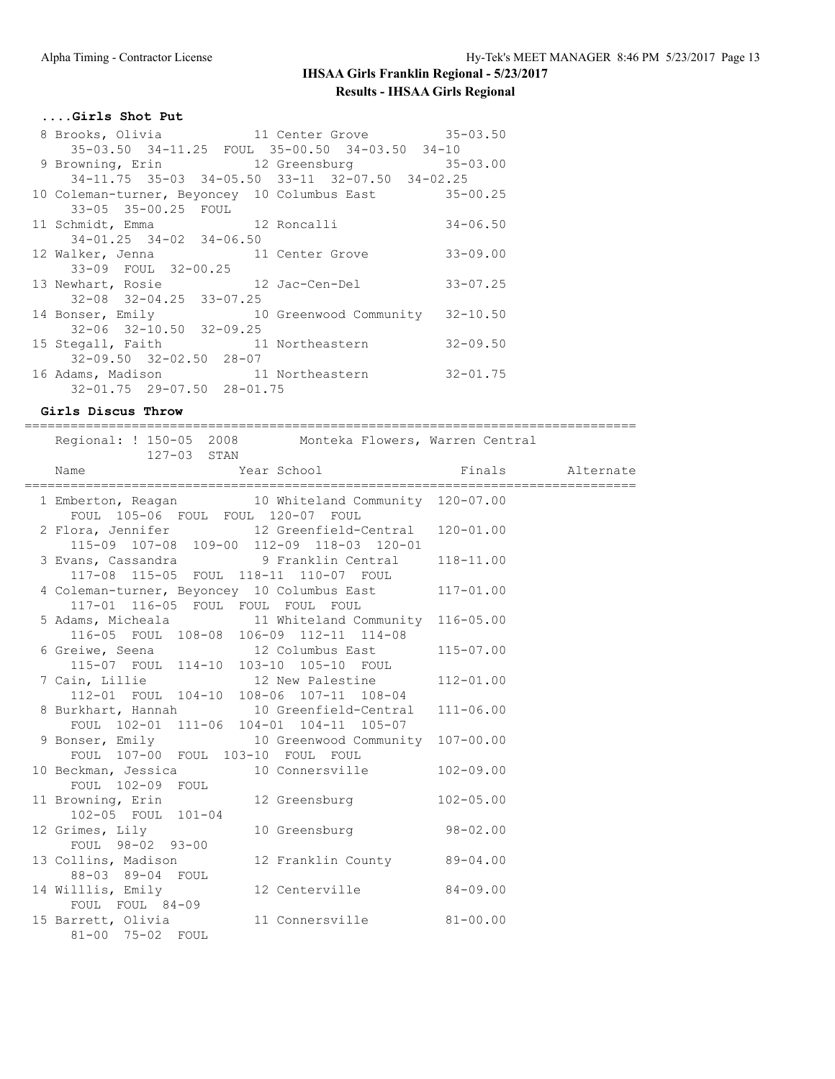### **....Girls Shot Put**

| 8 Brooks, Olivia 11 Center Grove 35-03.50                   |                        |              |
|-------------------------------------------------------------|------------------------|--------------|
| 35-03.50 34-11.25 FOUL 35-00.50 34-03.50 34-10              |                        |              |
| 9 Browning, Erin 12 Greensburg 35-03.00                     |                        |              |
| $34-11.75$ $35-03$ $34-05.50$ $33-11$ $32-07.50$ $34-02.25$ |                        |              |
| 10 Coleman-turner, Beyoncey 10 Columbus East 35-00.25       |                        |              |
| 33-05 35-00.25 FOUL                                         |                        |              |
| 11 Schmidt, Emma 12 Roncalli                                |                        | $34 - 06.50$ |
| $34 - 01.25$ $34 - 02$ $34 - 06.50$                         |                        |              |
| 12 Walker, Jenna 11 Center Grove                            |                        | $33 - 09.00$ |
| 33-09 FOUL 32-00.25                                         |                        |              |
| 13 Newhart, Rosie<br>12 Jac-Cen-Del                         |                        | $33 - 07.25$ |
| $32 - 08$ $32 - 04.25$ $33 - 07.25$                         |                        |              |
| 14 Bonser, Emily                                            | 10 Greenwood Community | $32 - 10.50$ |
| $32 - 06$ $32 - 10.50$ $32 - 09.25$                         |                        |              |
| 15 Stegall, Faith                                           | 11 Northeastern        | $32 - 09.50$ |
| $32 - 09.50$ $32 - 02.50$ $28 - 07$                         |                        |              |
| 16 Adams, Madison 11 Northeastern                           |                        | $32 - 01.75$ |
| 32-01.75 29-07.50 28-01.75                                  |                        |              |

#### **Girls Discus Throw** ================================================================================

| Regional: ! 150-05 2008 Monteka Flowers, Warren Central<br>127-03 STAN                                 |                  |  |
|--------------------------------------------------------------------------------------------------------|------------------|--|
| Year School<br>Name                                                                                    | Finals Alternate |  |
| 1 Emberton, Reagan 10 Whiteland Community 120-07.00<br>FOUL 105-06 FOUL FOUL 120-07 FOUL               |                  |  |
| 2 Flora, Jennifer 12 Greenfield-Central 120-01.00<br>$115-09$ 107-08 109-00 112-09 118-03 120-01       |                  |  |
| 3 Evans, Cassandra (118-11.00) 9 Franklin Central (118-11.00)<br>117-08 115-05 FOUL 118-11 110-07 FOUL |                  |  |
| 4 Coleman-turner, Beyoncey 10 Columbus East 117-01.00<br>117-01 116-05 FOUL FOUL FOUL FOUL             |                  |  |
| 5 Adams, Micheala 11 Whiteland Community 116-05.00<br>116-05 FOUL 108-08 106-09 112-11 114-08          |                  |  |
| 6 Greiwe, Seena 12 Columbus East 115-07.00<br>115-07 FOUL 114-10 103-10 105-10 FOUL                    |                  |  |
| 7 Cain, Lillie 12 New Palestine 112-01.00<br>112-01 FOUL 104-10 108-06 107-11 108-04                   |                  |  |
| 8 Burkhart, Hannah 10 Greenfield-Central 111-06.00<br>FOUL 102-01 111-06 104-01 104-11 105-07          |                  |  |
| 9 Bonser, Emily 10 Greenwood Community 107-00.00                                                       |                  |  |
| FOUL 107-00 FOUL 103-10 FOUL FOUL<br>10 Beckman, Jessica 10 Connersville 102-09.00<br>FOUL 102-09 FOUL |                  |  |
| 12 Greensburg<br>11 Browning, Erin<br>102-05 FOUL 101-04                                               | $102 - 05.00$    |  |
| 10 Greensburg 98-02.00<br>12 Grimes, Lily<br>FOUL 98-02 93-00                                          |                  |  |
| 13 Collins, Madison<br>12 Franklin County 89-04.00<br>88-03 89-04 FOUL                                 |                  |  |
| 14 Willlis, Emily<br>12 Centerville 84-09.00<br>FOUL FOUL 84-09                                        |                  |  |
| 15 Barrett, Olivia<br>11 Connersville 81-00.00<br>81-00 75-02 FOUL                                     |                  |  |